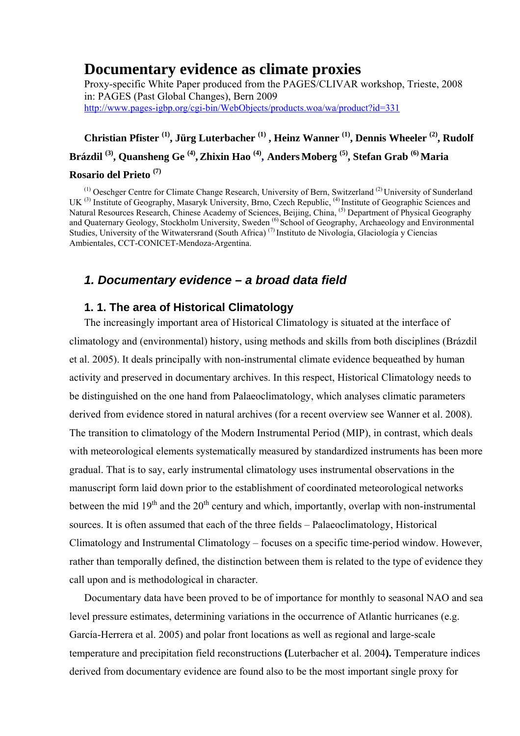# **Documentary evidence as climate proxies**

Proxy-specific White Paper produced from the PAGES/CLIVAR workshop, Trieste, 2008 in: PAGES (Past Global Changes), Bern 2009 http://www.pages-igbp.org/cgi-bin/WebObjects/products.woa/wa/product?id=331

# **Christian Pfister (1), Jürg Luterbacher (1) , Heinz Wanner (1), Dennis Wheeler (2), Rudolf Brázdil (3), Quansheng Ge (4),Zhixin Hao (4), Anders Moberg (5), Stefan Grab (6) Maria Rosario del Prieto (7)**

(1) Oeschger Centre for Climate Change Research, University of Bern, Switzerland (2) University of Sunderland UK<sup>(3)</sup> Institute of Geography, Masaryk University, Brno, Czech Republic, <sup>(4)</sup> Institute of Geographic Sciences and Natural Resources Research, Chinese Academy of Sciences, Beijing, China, <sup>(5)</sup> Department of Physical Geography and Quaternary Geology, Stockholm University, Sweden <sup>(6)</sup> School of Geography, Archaeology and Environmental Studies, University of the Witwatersrand (South Africa)<sup>(7)</sup> Instituto de Nivología, Glaciología y Ciencias Ambientales, CCT-CONICET-Mendoza-Argentina.

# *1. Documentary evidence – a broad data field*

# **1. 1. The area of Historical Climatology**

The increasingly important area of Historical Climatology is situated at the interface of climatology and (environmental) history, using methods and skills from both disciplines (Brázdil et al. 2005). It deals principally with non-instrumental climate evidence bequeathed by human activity and preserved in documentary archives. In this respect, Historical Climatology needs to be distinguished on the one hand from Palaeoclimatology, which analyses climatic parameters derived from evidence stored in natural archives (for a recent overview see Wanner et al. 2008). The transition to climatology of the Modern Instrumental Period (MIP), in contrast, which deals with meteorological elements systematically measured by standardized instruments has been more gradual. That is to say, early instrumental climatology uses instrumental observations in the manuscript form laid down prior to the establishment of coordinated meteorological networks between the mid  $19<sup>th</sup>$  and the  $20<sup>th</sup>$  century and which, importantly, overlap with non-instrumental sources. It is often assumed that each of the three fields – Palaeoclimatology, Historical Climatology and Instrumental Climatology – focuses on a specific time-period window. However, rather than temporally defined, the distinction between them is related to the type of evidence they call upon and is methodological in character.

Documentary data have been proved to be of importance for monthly to seasonal NAO and sea level pressure estimates, determining variations in the occurrence of Atlantic hurricanes (e.g. García-Herrera et al. 2005) and polar front locations as well as regional and large-scale temperature and precipitation field reconstructions **(**Luterbacher et al. 2004**).** Temperature indices derived from documentary evidence are found also to be the most important single proxy for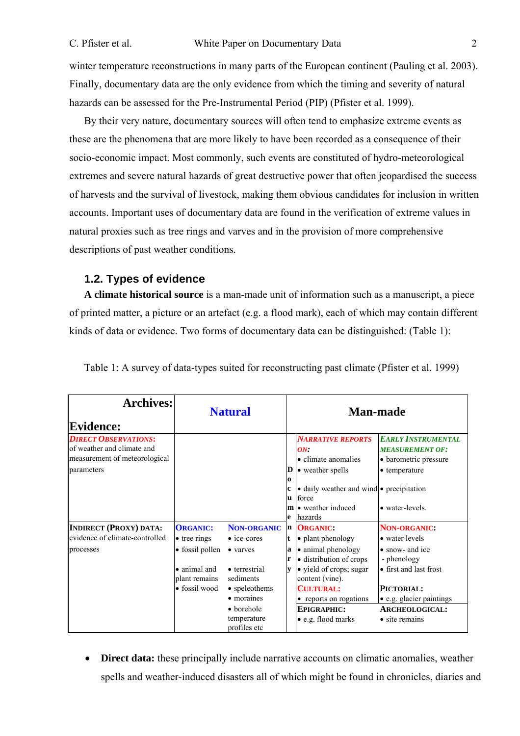winter temperature reconstructions in many parts of the European continent (Pauling et al. 2003). Finally, documentary data are the only evidence from which the timing and severity of natural hazards can be assessed for the Pre-Instrumental Period (PIP) (Pfister et al. 1999).

By their very nature, documentary sources will often tend to emphasize extreme events as these are the phenomena that are more likely to have been recorded as a consequence of their socio-economic impact. Most commonly, such events are constituted of hydro-meteorological extremes and severe natural hazards of great destructive power that often jeopardised the success of harvests and the survival of livestock, making them obvious candidates for inclusion in written accounts. Important uses of documentary data are found in the verification of extreme values in natural proxies such as tree rings and varves and in the provision of more comprehensive descriptions of past weather conditions.

# **1.2. Types of evidence**

**A climate historical source** is a man-made unit of information such as a manuscript, a piece of printed matter, a picture or an artefact (e.g. a flood mark), each of which may contain different kinds of data or evidence. Two forms of documentary data can be distinguished: (Table 1):

| <b>Archives:</b><br><b>Evidence:</b>                                                                     | <b>Natural</b>                |                                           | <b>Man-made</b>              |                                                                                                        |                                                                                               |
|----------------------------------------------------------------------------------------------------------|-------------------------------|-------------------------------------------|------------------------------|--------------------------------------------------------------------------------------------------------|-----------------------------------------------------------------------------------------------|
| <b>DIRECT OBSERVATIONS:</b><br>of weather and climate and<br>measurement of meteorological<br>parameters |                               |                                           | D<br>$\Omega$                | <b>NARRATIVE REPORTS</b><br>ON<br>• climate anomalies<br>• weather spells                              | <b>EARLY INSTRUMENTAL</b><br><b>MEASUREMENT OF:</b><br>• barometric pressure<br>• temperature |
|                                                                                                          |                               |                                           | $\mathbf c$<br><b>u</b><br>e | • daily weather and wind • precipitation<br>force<br>$\mathbf{m}$ $\bullet$ weather induced<br>hazards | • water-levels.                                                                               |
| <b>INDIRECT (PROXY) DATA:</b>                                                                            | <b>ORGANIC:</b>               | <b>NON-ORGANIC</b>                        | n                            | <b>ORGANIC:</b>                                                                                        | <b>NON-ORGANIC:</b>                                                                           |
| evidence of climate-controlled                                                                           | $\bullet$ tree rings          | $\bullet$ ice-cores                       | t                            | • plant phenology                                                                                      | • water levels                                                                                |
| processes                                                                                                | • fossil pollen               | • varves                                  | a<br>r                       | • animal phenology<br>· distribution of crops                                                          | • snow- and ice<br>- phenology                                                                |
|                                                                                                          | • animal and<br>plant remains | • terrestrial<br>sediments                | v                            | • yield of crops; sugar<br>content (vine).                                                             | • first and last frost                                                                        |
|                                                                                                          | • fossil wood                 | • speleothems                             |                              | <b>CULTURAL:</b>                                                                                       | PICTORIAL:                                                                                    |
|                                                                                                          |                               | • moraines                                |                              | • reports on rogations                                                                                 | • e.g. glacier paintings                                                                      |
|                                                                                                          |                               | • borehole<br>temperature<br>profiles etc |                              | <b>EPIGRAPHIC:</b><br>• e.g. flood marks                                                               | <b>ARCHEOLOGICAL:</b><br>$\bullet$ site remains                                               |

Table 1: A survey of data-types suited for reconstructing past climate (Pfister et al. 1999)

• **Direct data:** these principally include narrative accounts on climatic anomalies, weather spells and weather-induced disasters all of which might be found in chronicles, diaries and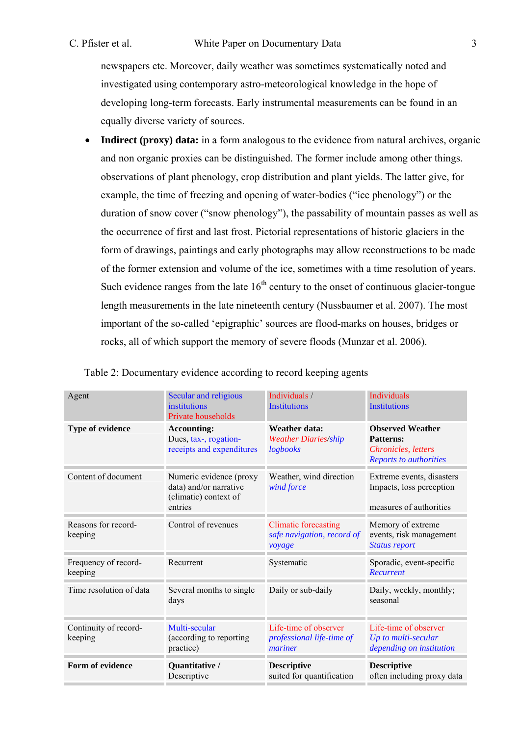# C. Pfister et al. White Paper on Documentary Data 3

newspapers etc. Moreover, daily weather was sometimes systematically noted and investigated using contemporary astro-meteorological knowledge in the hope of developing long-term forecasts. Early instrumental measurements can be found in an equally diverse variety of sources.

• **Indirect (proxy) data:** in a form analogous to the evidence from natural archives, organic and non organic proxies can be distinguished. The former include among other things. observations of plant phenology, crop distribution and plant yields. The latter give, for example, the time of freezing and opening of water-bodies ("ice phenology") or the duration of snow cover ("snow phenology"), the passability of mountain passes as well as the occurrence of first and last frost. Pictorial representations of historic glaciers in the form of drawings, paintings and early photographs may allow reconstructions to be made of the former extension and volume of the ice, sometimes with a time resolution of years. Such evidence ranges from the late  $16<sup>th</sup>$  century to the onset of continuous glacier-tongue length measurements in the late nineteenth century (Nussbaumer et al. 2007). The most important of the so-called 'epigraphic' sources are flood-marks on houses, bridges or rocks, all of which support the memory of severe floods (Munzar et al. 2006).

| Agent                            | Secular and religious<br>institutions<br>Private households                           | Individuals /<br><b>Institutions</b>                                | <b>Individuals</b><br><b>Institutions</b>                                                                          |
|----------------------------------|---------------------------------------------------------------------------------------|---------------------------------------------------------------------|--------------------------------------------------------------------------------------------------------------------|
| <b>Type of evidence</b>          | <b>Accounting:</b><br>Dues, tax-, rogation-<br>receipts and expenditures              | <b>Weather data:</b><br><b>Weather Diaries/ship</b><br>logbooks     | <b>Observed Weather</b><br><b>Patterns:</b><br><b>Chronicles</b> , <i>letters</i><br><b>Reports to authorities</b> |
| Content of document              | Numeric evidence (proxy<br>data) and/or narrative<br>(climatic) context of<br>entries | Weather, wind direction<br>wind force                               | Extreme events, disasters<br>Impacts, loss perception<br>measures of authorities                                   |
| Reasons for record-<br>keeping   | Control of revenues                                                                   | <b>Climatic forecasting</b><br>safe navigation, record of<br>voyage | Memory of extreme<br>events, risk management<br><b>Status report</b>                                               |
| Frequency of record-<br>keeping  | Recurrent                                                                             | Systematic                                                          | Sporadic, event-specific<br>Recurrent                                                                              |
| Time resolution of data          | Several months to single<br>days                                                      | Daily or sub-daily                                                  | Daily, weekly, monthly;<br>seasonal                                                                                |
| Continuity of record-<br>keeping | Multi-secular<br>(according to reporting)<br>practice)                                | Life-time of observer<br>professional life-time of<br>mariner       | Life-time of observer<br>Up to multi-secular<br>depending on institution                                           |
| Form of evidence                 | Quantitative /<br>Descriptive                                                         | <b>Descriptive</b><br>suited for quantification                     | <b>Descriptive</b><br>often including proxy data                                                                   |

|  | Table 2: Documentary evidence according to record keeping agents |  |
|--|------------------------------------------------------------------|--|
|  |                                                                  |  |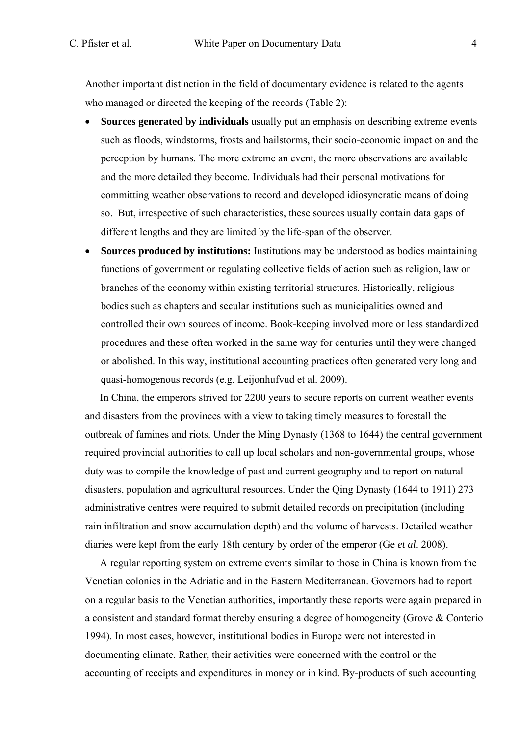Another important distinction in the field of documentary evidence is related to the agents who managed or directed the keeping of the records (Table 2):

- **Sources generated by individuals** usually put an emphasis on describing extreme events such as floods, windstorms, frosts and hailstorms, their socio-economic impact on and the perception by humans. The more extreme an event, the more observations are available and the more detailed they become. Individuals had their personal motivations for committing weather observations to record and developed idiosyncratic means of doing so. But, irrespective of such characteristics, these sources usually contain data gaps of different lengths and they are limited by the life-span of the observer.
- **Sources produced by institutions:** Institutions may be understood as bodies maintaining functions of government or regulating collective fields of action such as religion, law or branches of the economy within existing territorial structures. Historically, religious bodies such as chapters and secular institutions such as municipalities owned and controlled their own sources of income. Book-keeping involved more or less standardized procedures and these often worked in the same way for centuries until they were changed or abolished. In this way, institutional accounting practices often generated very long and quasi-homogenous records (e.g. Leijonhufvud et al. 2009).

In China, the emperors strived for 2200 years to secure reports on current weather events and disasters from the provinces with a view to taking timely measures to forestall the outbreak of famines and riots. Under the Ming Dynasty (1368 to 1644) the central government required provincial authorities to call up local scholars and non-governmental groups, whose duty was to compile the knowledge of past and current geography and to report on natural disasters, population and agricultural resources. Under the Qing Dynasty (1644 to 1911) 273 administrative centres were required to submit detailed records on precipitation (including rain infiltration and snow accumulation depth) and the volume of harvests. Detailed weather diaries were kept from the early 18th century by order of the emperor (Ge *et al*. 2008).

A regular reporting system on extreme events similar to those in China is known from the Venetian colonies in the Adriatic and in the Eastern Mediterranean. Governors had to report on a regular basis to the Venetian authorities, importantly these reports were again prepared in a consistent and standard format thereby ensuring a degree of homogeneity (Grove & Conterio 1994). In most cases, however, institutional bodies in Europe were not interested in documenting climate. Rather, their activities were concerned with the control or the accounting of receipts and expenditures in money or in kind. By-products of such accounting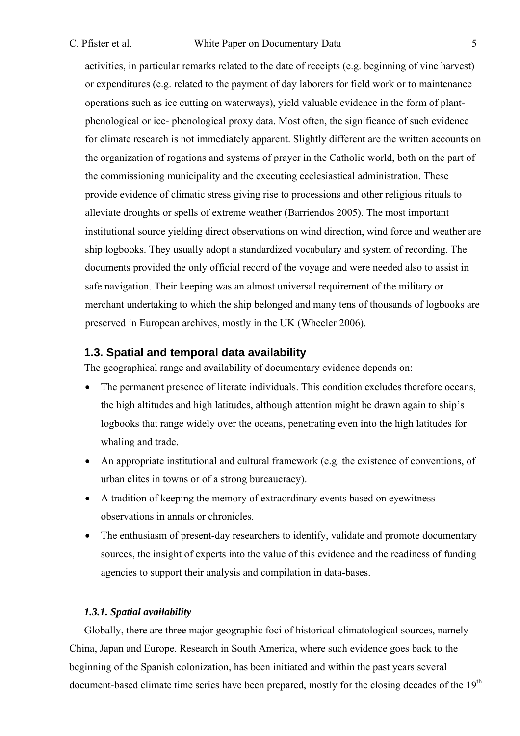#### C. Pfister et al. White Paper on Documentary Data 5

activities, in particular remarks related to the date of receipts (e.g. beginning of vine harvest) or expenditures (e.g. related to the payment of day laborers for field work or to maintenance operations such as ice cutting on waterways), yield valuable evidence in the form of plantphenological or ice- phenological proxy data. Most often, the significance of such evidence for climate research is not immediately apparent. Slightly different are the written accounts on the organization of rogations and systems of prayer in the Catholic world, both on the part of the commissioning municipality and the executing ecclesiastical administration. These provide evidence of climatic stress giving rise to processions and other religious rituals to alleviate droughts or spells of extreme weather (Barriendos 2005). The most important institutional source yielding direct observations on wind direction, wind force and weather are ship logbooks. They usually adopt a standardized vocabulary and system of recording. The documents provided the only official record of the voyage and were needed also to assist in safe navigation. Their keeping was an almost universal requirement of the military or merchant undertaking to which the ship belonged and many tens of thousands of logbooks are preserved in European archives, mostly in the UK (Wheeler 2006).

# **1.3. Spatial and temporal data availability**

The geographical range and availability of documentary evidence depends on:

- The permanent presence of literate individuals. This condition excludes therefore oceans, the high altitudes and high latitudes, although attention might be drawn again to ship's logbooks that range widely over the oceans, penetrating even into the high latitudes for whaling and trade.
- An appropriate institutional and cultural framework (e.g. the existence of conventions, of urban elites in towns or of a strong bureaucracy).
- A tradition of keeping the memory of extraordinary events based on eyewitness observations in annals or chronicles.
- The enthusiasm of present-day researchers to identify, validate and promote documentary sources, the insight of experts into the value of this evidence and the readiness of funding agencies to support their analysis and compilation in data-bases.

#### *1.3.1. Spatial availability*

Globally, there are three major geographic foci of historical-climatological sources, namely China, Japan and Europe. Research in South America, where such evidence goes back to the beginning of the Spanish colonization, has been initiated and within the past years several document-based climate time series have been prepared, mostly for the closing decades of the 19<sup>th</sup>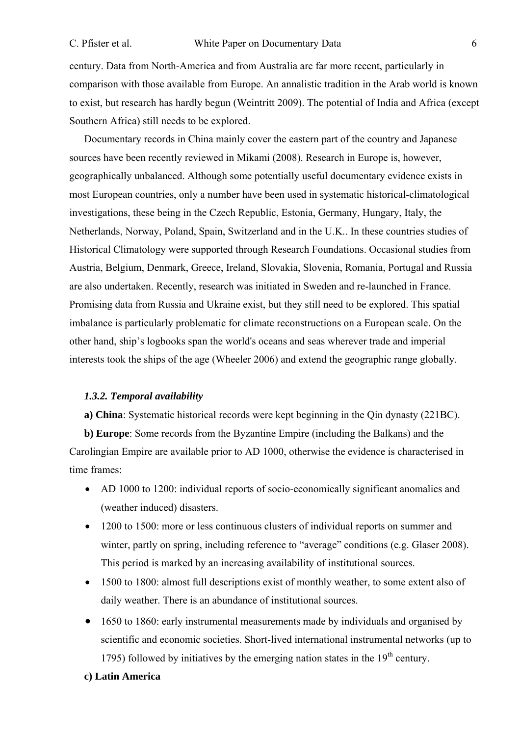century. Data from North-America and from Australia are far more recent, particularly in comparison with those available from Europe. An annalistic tradition in the Arab world is known to exist, but research has hardly begun (Weintritt 2009). The potential of India and Africa (except Southern Africa) still needs to be explored.

Documentary records in China mainly cover the eastern part of the country and Japanese sources have been recently reviewed in Mikami (2008). Research in Europe is, however, geographically unbalanced. Although some potentially useful documentary evidence exists in most European countries, only a number have been used in systematic historical-climatological investigations, these being in the Czech Republic, Estonia, Germany, Hungary, Italy, the Netherlands, Norway, Poland, Spain, Switzerland and in the U.K.. In these countries studies of Historical Climatology were supported through Research Foundations. Occasional studies from Austria, Belgium, Denmark, Greece, Ireland, Slovakia, Slovenia, Romania, Portugal and Russia are also undertaken. Recently, research was initiated in Sweden and re-launched in France. Promising data from Russia and Ukraine exist, but they still need to be explored. This spatial imbalance is particularly problematic for climate reconstructions on a European scale. On the other hand, ship's logbooks span the world's oceans and seas wherever trade and imperial interests took the ships of the age (Wheeler 2006) and extend the geographic range globally.

## *1.3.2. Temporal availability*

**a) China**: Systematic historical records were kept beginning in the Qin dynasty (221BC).

**b) Europe**: Some records from the Byzantine Empire (including the Balkans) and the Carolingian Empire are available prior to AD 1000, otherwise the evidence is characterised in time frames:

- AD 1000 to 1200: individual reports of socio-economically significant anomalies and (weather induced) disasters.
- 1200 to 1500: more or less continuous clusters of individual reports on summer and winter, partly on spring, including reference to "average" conditions (e.g. Glaser 2008). This period is marked by an increasing availability of institutional sources.
- 1500 to 1800: almost full descriptions exist of monthly weather, to some extent also of daily weather. There is an abundance of institutional sources.
- 1650 to 1860; early instrumental measurements made by individuals and organised by scientific and economic societies. Short-lived international instrumental networks (up to 1795) followed by initiatives by the emerging nation states in the  $19<sup>th</sup>$  century.

#### **c) Latin America**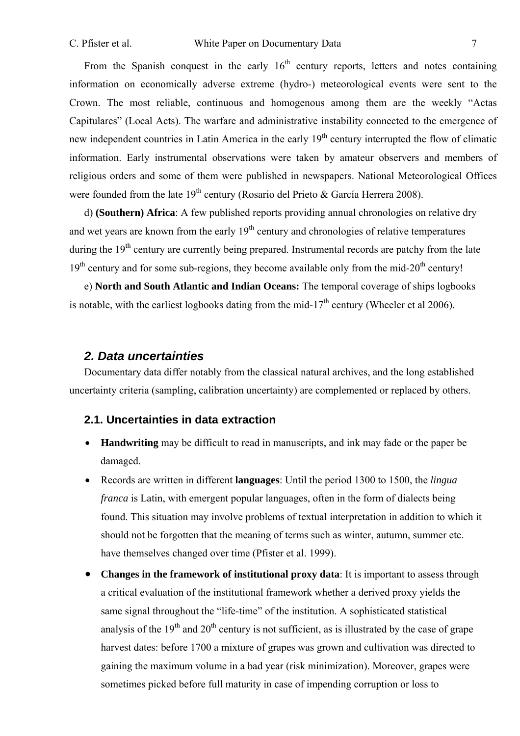From the Spanish conquest in the early  $16<sup>th</sup>$  century reports, letters and notes containing information on economically adverse extreme (hydro-) meteorological events were sent to the Crown. The most reliable, continuous and homogenous among them are the weekly "Actas Capitulares" (Local Acts). The warfare and administrative instability connected to the emergence of new independent countries in Latin America in the early 19<sup>th</sup> century interrupted the flow of climatic information. Early instrumental observations were taken by amateur observers and members of religious orders and some of them were published in newspapers. National Meteorological Offices were founded from the late  $19<sup>th</sup>$  century (Rosario del Prieto & García Herrera 2008).

d) **(Southern) Africa**: A few published reports providing annual chronologies on relative dry and wet years are known from the early 19<sup>th</sup> century and chronologies of relative temperatures during the  $19<sup>th</sup>$  century are currently being prepared. Instrumental records are patchy from the late  $19<sup>th</sup>$  century and for some sub-regions, they become available only from the mid-20<sup>th</sup> century!

e) **North and South Atlantic and Indian Oceans:** The temporal coverage of ships logbooks is notable, with the earliest logbooks dating from the mid-17<sup>th</sup> century (Wheeler et al 2006).

# *2. Data uncertainties*

Documentary data differ notably from the classical natural archives, and the long established uncertainty criteria (sampling, calibration uncertainty) are complemented or replaced by others.

# **2.1. Uncertainties in data extraction**

- **Handwriting** may be difficult to read in manuscripts, and ink may fade or the paper be damaged.
- Records are written in different **languages**: Until the period 1300 to 1500, the *lingua franca* is Latin, with emergent popular languages, often in the form of dialects being found. This situation may involve problems of textual interpretation in addition to which it should not be forgotten that the meaning of terms such as winter, autumn, summer etc. have themselves changed over time (Pfister et al. 1999).
- **Changes in the framework of institutional proxy data**: It is important to assess through a critical evaluation of the institutional framework whether a derived proxy yields the same signal throughout the "life-time" of the institution. A sophisticated statistical analysis of the  $19<sup>th</sup>$  and  $20<sup>th</sup>$  century is not sufficient, as is illustrated by the case of grape harvest dates: before 1700 a mixture of grapes was grown and cultivation was directed to gaining the maximum volume in a bad year (risk minimization). Moreover, grapes were sometimes picked before full maturity in case of impending corruption or loss to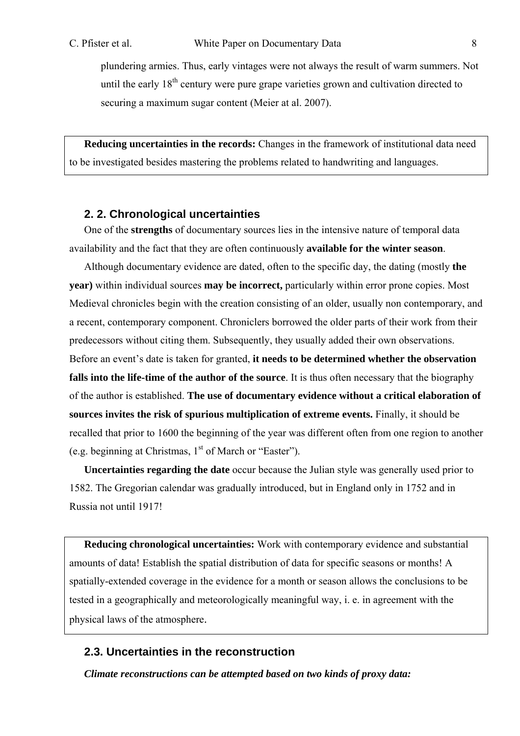plundering armies. Thus, early vintages were not always the result of warm summers. Not until the early  $18<sup>th</sup>$  century were pure grape varieties grown and cultivation directed to securing a maximum sugar content (Meier at al. 2007).

**Reducing uncertainties in the records:** Changes in the framework of institutional data need to be investigated besides mastering the problems related to handwriting and languages.

### **2. 2. Chronological uncertainties**

One of the **strengths** of documentary sources lies in the intensive nature of temporal data availability and the fact that they are often continuously **available for the winter season**.

Although documentary evidence are dated, often to the specific day, the dating (mostly **the year)** within individual sources **may be incorrect,** particularly within error prone copies. Most Medieval chronicles begin with the creation consisting of an older, usually non contemporary, and a recent, contemporary component. Chroniclers borrowed the older parts of their work from their predecessors without citing them. Subsequently, they usually added their own observations. Before an event's date is taken for granted, **it needs to be determined whether the observation falls into the life-time of the author of the source**. It is thus often necessary that the biography of the author is established. **The use of documentary evidence without a critical elaboration of sources invites the risk of spurious multiplication of extreme events.** Finally, it should be recalled that prior to 1600 the beginning of the year was different often from one region to another (e.g. beginning at Christmas,  $1<sup>st</sup>$  of March or "Easter").

**Uncertainties regarding the date** occur because the Julian style was generally used prior to 1582. The Gregorian calendar was gradually introduced, but in England only in 1752 and in Russia not until 1917!

**Reducing chronological uncertainties:** Work with contemporary evidence and substantial amounts of data! Establish the spatial distribution of data for specific seasons or months! A spatially-extended coverage in the evidence for a month or season allows the conclusions to be tested in a geographically and meteorologically meaningful way, i. e. in agreement with the physical laws of the atmosphere.

# **2.3. Uncertainties in the reconstruction**

*Climate reconstructions can be attempted based on two kinds of proxy data:*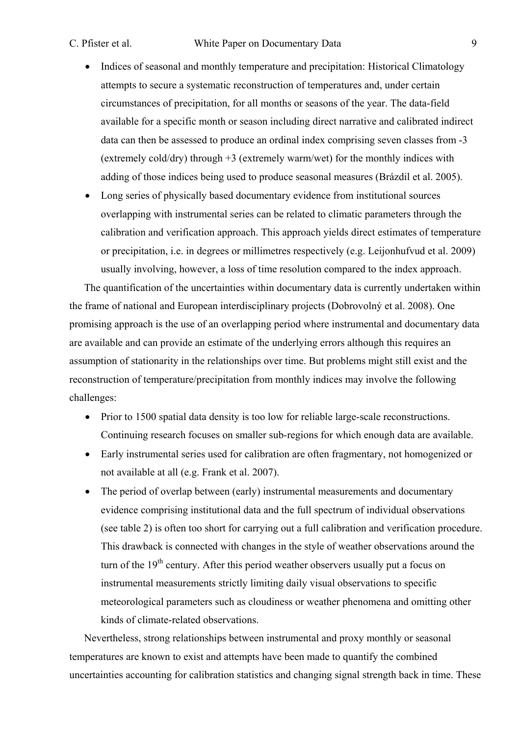- Indices of seasonal and monthly temperature and precipitation: Historical Climatology attempts to secure a systematic reconstruction of temperatures and, under certain circumstances of precipitation, for all months or seasons of the year. The data-field available for a specific month or season including direct narrative and calibrated indirect data can then be assessed to produce an ordinal index comprising seven classes from -3 (extremely cold/dry) through +3 (extremely warm/wet) for the monthly indices with adding of those indices being used to produce seasonal measures (Brázdil et al. 2005).
- Long series of physically based documentary evidence from institutional sources overlapping with instrumental series can be related to climatic parameters through the calibration and verification approach. This approach yields direct estimates of temperature or precipitation, i.e. in degrees or millimetres respectively (e.g. Leijonhufvud et al. 2009) usually involving, however, a loss of time resolution compared to the index approach.

The quantification of the uncertainties within documentary data is currently undertaken within the frame of national and European interdisciplinary projects (Dobrovolný et al. 2008). One promising approach is the use of an overlapping period where instrumental and documentary data are available and can provide an estimate of the underlying errors although this requires an assumption of stationarity in the relationships over time. But problems might still exist and the reconstruction of temperature/precipitation from monthly indices may involve the following challenges:

- Prior to 1500 spatial data density is too low for reliable large-scale reconstructions. Continuing research focuses on smaller sub-regions for which enough data are available.
- Early instrumental series used for calibration are often fragmentary, not homogenized or not available at all (e.g. Frank et al. 2007).
- The period of overlap between (early) instrumental measurements and documentary evidence comprising institutional data and the full spectrum of individual observations (see table 2) is often too short for carrying out a full calibration and verification procedure. This drawback is connected with changes in the style of weather observations around the turn of the  $19<sup>th</sup>$  century. After this period weather observers usually put a focus on instrumental measurements strictly limiting daily visual observations to specific meteorological parameters such as cloudiness or weather phenomena and omitting other kinds of climate-related observations.

Nevertheless, strong relationships between instrumental and proxy monthly or seasonal temperatures are known to exist and attempts have been made to quantify the combined uncertainties accounting for calibration statistics and changing signal strength back in time. These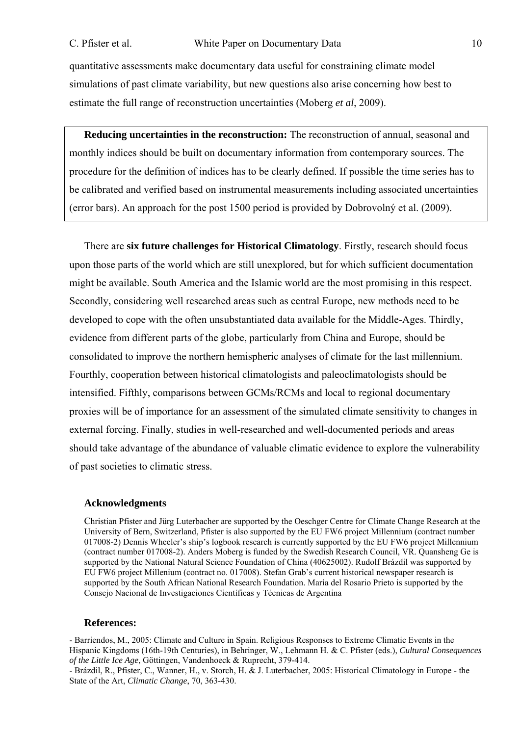quantitative assessments make documentary data useful for constraining climate model simulations of past climate variability, but new questions also arise concerning how best to estimate the full range of reconstruction uncertainties (Moberg *et al*, 2009).

**Reducing uncertainties in the reconstruction:** The reconstruction of annual, seasonal and monthly indices should be built on documentary information from contemporary sources. The procedure for the definition of indices has to be clearly defined. If possible the time series has to be calibrated and verified based on instrumental measurements including associated uncertainties (error bars). An approach for the post 1500 period is provided by Dobrovolný et al. (2009).

There are **six future challenges for Historical Climatology**. Firstly, research should focus upon those parts of the world which are still unexplored, but for which sufficient documentation might be available. South America and the Islamic world are the most promising in this respect. Secondly, considering well researched areas such as central Europe, new methods need to be developed to cope with the often unsubstantiated data available for the Middle-Ages. Thirdly, evidence from different parts of the globe, particularly from China and Europe, should be consolidated to improve the northern hemispheric analyses of climate for the last millennium. Fourthly, cooperation between historical climatologists and paleoclimatologists should be intensified. Fifthly, comparisons between GCMs/RCMs and local to regional documentary proxies will be of importance for an assessment of the simulated climate sensitivity to changes in external forcing. Finally, studies in well-researched and well-documented periods and areas should take advantage of the abundance of valuable climatic evidence to explore the vulnerability of past societies to climatic stress.

#### **Acknowledgments**

Christian Pfister and Jürg Luterbacher are supported by the Oeschger Centre for Climate Change Research at the University of Bern, Switzerland, Pfister is also supported by the EU FW6 project Millennium (contract number 017008-2) Dennis Wheeler's ship's logbook research is currently supported by the EU FW6 project Millennium (contract number 017008-2). Anders Moberg is funded by the Swedish Research Council, VR. Quansheng Ge is supported by the National Natural Science Foundation of China (40625002). Rudolf Brázdil was supported by EU FW6 project Millenium (contract no. 017008). Stefan Grab's current historical newspaper research is supported by the South African National Research Foundation. María del Rosario Prieto is supported by the Consejo Nacional de Investigaciones Científicas y Técnicas de Argentina

#### **References:**

- Barriendos, M., 2005: Climate and Culture in Spain. Religious Responses to Extreme Climatic Events in the Hispanic Kingdoms (16th-19th Centuries), in Behringer, W., Lehmann H. & C. Pfister (eds.), *Cultural Consequences of the Little Ice Age*, Göttingen, Vandenhoeck & Ruprecht, 379-414.

- Brázdil, R., Pfister, C., Wanner, H., v. Storch, H. & J. Luterbacher, 2005: Historical Climatology in Europe - the State of the Art, *Climatic Change*, 70, 363-430.